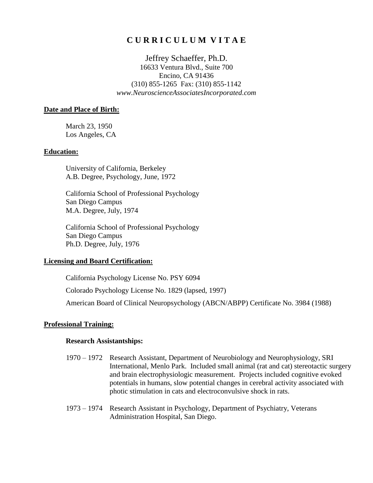## **C U R R I C U L U M V I T A E**

Jeffrey Schaeffer, Ph.D. 16633 Ventura Blvd., Suite 700 Encino, CA 91436 (310) 855-1265 Fax: (310) 855-1142 *www.NeuroscienceAssociatesIncorporated.com*

#### **Date and Place of Birth:**

March 23, 1950 Los Angeles, CA

### **Education:**

University of California, Berkeley A.B. Degree, Psychology, June, 1972

California School of Professional Psychology San Diego Campus M.A. Degree, July, 1974

California School of Professional Psychology San Diego Campus Ph.D. Degree, July, 1976

### **Licensing and Board Certification:**

California Psychology License No. PSY 6094 Colorado Psychology License No. 1829 (lapsed, 1997) American Board of Clinical Neuropsychology (ABCN/ABPP) Certificate No. 3984 (1988)

### **Professional Training:**

#### **Research Assistantships:**

- 1970 1972 Research Assistant, Department of Neurobiology and Neurophysiology, SRI International, Menlo Park. Included small animal (rat and cat) stereotactic surgery and brain electrophysiologic measurement. Projects included cognitive evoked potentials in humans, slow potential changes in cerebral activity associated with photic stimulation in cats and electroconvulsive shock in rats.
- 1973 1974 Research Assistant in Psychology, Department of Psychiatry, Veterans Administration Hospital, San Diego.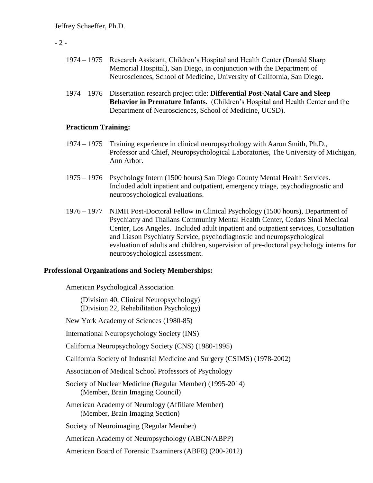### $-2-$

- 1974 1975 Research Assistant, Children's Hospital and Health Center (Donald Sharp Memorial Hospital), San Diego, in conjunction with the Department of Neurosciences, School of Medicine, University of California, San Diego.
- 1974 1976 Dissertation research project title: **Differential Post-Natal Care and Sleep Behavior in Premature Infants.** (Children's Hospital and Health Center and the Department of Neurosciences, School of Medicine, UCSD).

### **Practicum Training:**

- 1974 1975 Training experience in clinical neuropsychology with Aaron Smith, Ph.D., Professor and Chief, Neuropsychological Laboratories, The University of Michigan, Ann Arbor.
- 1975 1976 Psychology Intern (1500 hours) San Diego County Mental Health Services. Included adult inpatient and outpatient, emergency triage, psychodiagnostic and neuropsychological evaluations.
- 1976 1977 NIMH Post-Doctoral Fellow in Clinical Psychology (1500 hours), Department of Psychiatry and Thalians Community Mental Health Center, Cedars Sinai Medical Center, Los Angeles. Included adult inpatient and outpatient services, Consultation and Liason Psychiatry Service, psychodiagnostic and neuropsychological evaluation of adults and children, supervision of pre-doctoral psychology interns for neuropsychological assessment.

### **Professional Organizations and Society Memberships:**

American Psychological Association

 (Division 40, Clinical Neuropsychology) (Division 22, Rehabilitation Psychology)

- New York Academy of Sciences (1980-85)
- International Neuropsychology Society (INS)

California Neuropsychology Society (CNS) (1980-1995)

California Society of Industrial Medicine and Surgery (CSIMS) (1978-2002)

Association of Medical School Professors of Psychology

Society of Nuclear Medicine (Regular Member) (1995-2014) (Member, Brain Imaging Council)

American Academy of Neurology (Affiliate Member) (Member, Brain Imaging Section)

Society of Neuroimaging (Regular Member)

American Academy of Neuropsychology (ABCN/ABPP)

American Board of Forensic Examiners (ABFE) (200-2012)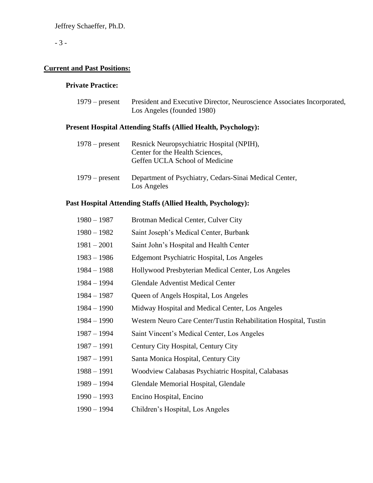## - 3 -

# **Current and Past Positions:**

## **Private Practice:**

| $1979$ – present | President and Executive Director, Neuroscience Associates Incorporated, |
|------------------|-------------------------------------------------------------------------|
|                  | Los Angeles (founded 1980)                                              |

## **Present Hospital Attending Staffs (Allied Health, Psychology):**

| $1978$ – present | Resnick Neuropsychiatric Hospital (NPIH),<br>Center for the Health Sciences,<br>Geffen UCLA School of Medicine |
|------------------|----------------------------------------------------------------------------------------------------------------|
| $1979$ – present | Department of Psychiatry, Cedars-Sinai Medical Center,<br>Los Angeles                                          |

## **Past Hospital Attending Staffs (Allied Health, Psychology):**

| $1980 - 1987$ | Brotman Medical Center, Culver City                              |
|---------------|------------------------------------------------------------------|
| $1980 - 1982$ | Saint Joseph's Medical Center, Burbank                           |
| $1981 - 2001$ | Saint John's Hospital and Health Center                          |
| $1983 - 1986$ | Edgemont Psychiatric Hospital, Los Angeles                       |
| $1984 - 1988$ | Hollywood Presbyterian Medical Center, Los Angeles               |
| $1984 - 1994$ | <b>Glendale Adventist Medical Center</b>                         |
| $1984 - 1987$ | Queen of Angels Hospital, Los Angeles                            |
| $1984 - 1990$ | Midway Hospital and Medical Center, Los Angeles                  |
| $1984 - 1990$ | Western Neuro Care Center/Tustin Rehabilitation Hospital, Tustin |
| $1987 - 1994$ | Saint Vincent's Medical Center, Los Angeles                      |
| $1987 - 1991$ | Century City Hospital, Century City                              |
| $1987 - 1991$ | Santa Monica Hospital, Century City                              |
| $1988 - 1991$ | Woodview Calabasas Psychiatric Hospital, Calabasas               |
| $1989 - 1994$ | Glendale Memorial Hospital, Glendale                             |
| $1990 - 1993$ | Encino Hospital, Encino                                          |

1990 – 1994 Children's Hospital, Los Angeles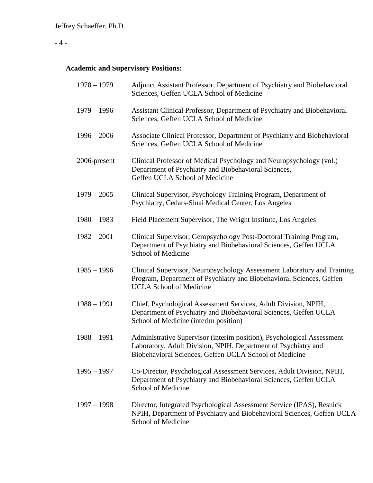# - 4 -

# **Academic and Supervisory Positions:**

| $1978 - 1979$ | Adjunct Assistant Professor, Department of Psychiatry and Biobehavioral<br>Sciences, Geffen UCLA School of Medicine                                                                                |
|---------------|----------------------------------------------------------------------------------------------------------------------------------------------------------------------------------------------------|
| $1979 - 1996$ | Assistant Clinical Professor, Department of Psychiatry and Biobehavioral<br>Sciences, Geffen UCLA School of Medicine                                                                               |
| $1996 - 2006$ | Associate Clinical Professor, Department of Psychiatry and Biobehavioral<br>Sciences, Geffen UCLA School of Medicine                                                                               |
| 2006-present  | Clinical Professor of Medical Psychology and Neuropsychology (vol.)<br>Department of Psychiatry and Biobehavioral Sciences,<br>Geffen UCLA School of Medicine                                      |
| $1979 - 2005$ | Clinical Supervisor, Psychology Training Program, Department of<br>Psychiatry, Cedars-Sinai Medical Center, Los Angeles                                                                            |
| $1980 - 1983$ | Field Placement Supervisor, The Wright Institute, Los Angeles                                                                                                                                      |
| $1982 - 2001$ | Clinical Supervisor, Geropsychology Post-Doctoral Training Program,<br>Department of Psychiatry and Biobehavioral Sciences, Geffen UCLA<br>School of Medicine                                      |
| $1985 - 1996$ | Clinical Supervisor, Neuropsychology Assessment Laboratory and Training<br>Program, Department of Psychiatry and Biobehavioral Sciences, Geffen<br><b>UCLA School of Medicine</b>                  |
| $1988 - 1991$ | Chief, Psychological Assessment Services, Adult Division, NPIH,<br>Department of Psychiatry and Biobehavioral Sciences, Geffen UCLA<br>School of Medicine (interim position)                       |
| $1988 - 1991$ | Administrative Supervisor (interim position), Psychological Assessment<br>Laboratory, Adult Division, NPIH, Department of Psychiatry and<br>Biobehavioral Sciences, Geffen UCLA School of Medicine |
| $1995 - 1997$ | Co-Director, Psychological Assessment Services, Adult Division, NPIH,<br>Department of Psychiatry and Biobehavioral Sciences, Geffen UCLA<br><b>School of Medicine</b>                             |
| $1997 - 1998$ | Director, Integrated Psychological Assessment Service (IPAS), Resnick<br>NPIH, Department of Psychiatry and Biobehavioral Sciences, Geffen UCLA<br>School of Medicine                              |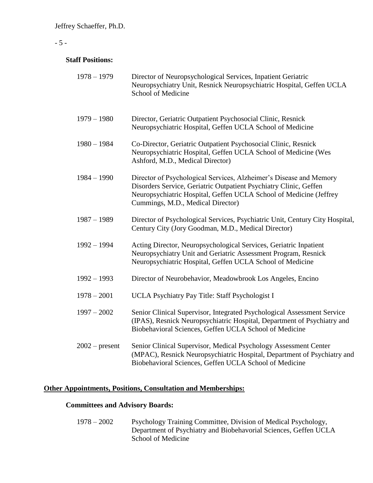### - 5 -

### **Staff Positions:**

| $1978 - 1979$    | Director of Neuropsychological Services, Inpatient Geriatric<br>Neuropsychiatry Unit, Resnick Neuropsychiatric Hospital, Geffen UCLA<br>School of Medicine                                                                                         |
|------------------|----------------------------------------------------------------------------------------------------------------------------------------------------------------------------------------------------------------------------------------------------|
| $1979 - 1980$    | Director, Geriatric Outpatient Psychosocial Clinic, Resnick<br>Neuropsychiatric Hospital, Geffen UCLA School of Medicine                                                                                                                           |
| $1980 - 1984$    | Co-Director, Geriatric Outpatient Psychosocial Clinic, Resnick<br>Neuropsychiatric Hospital, Geffen UCLA School of Medicine (Wes<br>Ashford, M.D., Medical Director)                                                                               |
| $1984 - 1990$    | Director of Psychological Services, Alzheimer's Disease and Memory<br>Disorders Service, Geriatric Outpatient Psychiatry Clinic, Geffen<br>Neuropsychiatric Hospital, Geffen UCLA School of Medicine (Jeffrey<br>Cummings, M.D., Medical Director) |
| $1987 - 1989$    | Director of Psychological Services, Psychiatric Unit, Century City Hospital,<br>Century City (Jory Goodman, M.D., Medical Director)                                                                                                                |
| $1992 - 1994$    | Acting Director, Neuropsychological Services, Geriatric Inpatient<br>Neuropsychiatry Unit and Geriatric Assessment Program, Resnick<br>Neuropsychiatric Hospital, Geffen UCLA School of Medicine                                                   |
| $1992 - 1993$    | Director of Neurobehavior, Meadowbrook Los Angeles, Encino                                                                                                                                                                                         |
| $1978 - 2001$    | UCLA Psychiatry Pay Title: Staff Psychologist I                                                                                                                                                                                                    |
| $1997 - 2002$    | Senior Clinical Supervisor, Integrated Psychological Assessment Service<br>(IPAS), Resnick Neuropsychiatric Hospital, Department of Psychiatry and<br>Biobehavioral Sciences, Geffen UCLA School of Medicine                                       |
| $2002$ – present | Senior Clinical Supervisor, Medical Psychology Assessment Center<br>(MPAC), Resnick Neuropsychiatric Hospital, Department of Psychiatry and<br>Biobehavioral Sciences, Geffen UCLA School of Medicine                                              |

### **Other Appointments, Positions, Consultation and Memberships:**

## **Committees and Advisory Boards:**

1978 – 2002 Psychology Training Committee, Division of Medical Psychology, Department of Psychiatry and Biobehavorial Sciences, Geffen UCLA School of Medicine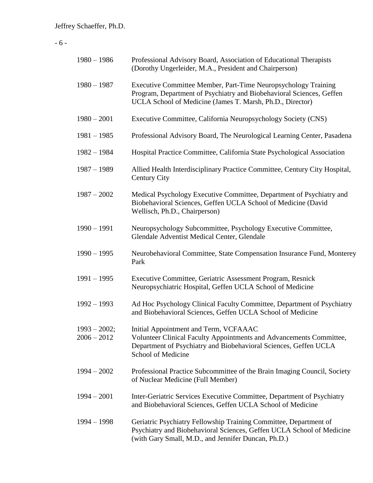# - 6 -

| $1980 - 1986$                   | Professional Advisory Board, Association of Educational Therapists<br>(Dorothy Ungerleider, M.A., President and Chairperson)                                                                           |
|---------------------------------|--------------------------------------------------------------------------------------------------------------------------------------------------------------------------------------------------------|
| $1980 - 1987$                   | Executive Committee Member, Part-Time Neuropsychology Training<br>Program, Department of Psychiatry and Biobehavioral Sciences, Geffen<br>UCLA School of Medicine (James T. Marsh, Ph.D., Director)    |
| $1980 - 2001$                   | Executive Committee, California Neuropsychology Society (CNS)                                                                                                                                          |
| $1981 - 1985$                   | Professional Advisory Board, The Neurological Learning Center, Pasadena                                                                                                                                |
| $1982 - 1984$                   | Hospital Practice Committee, California State Psychological Association                                                                                                                                |
| $1987 - 1989$                   | Allied Health Interdisciplinary Practice Committee, Century City Hospital,<br>Century City                                                                                                             |
| $1987 - 2002$                   | Medical Psychology Executive Committee, Department of Psychiatry and<br>Biobehavioral Sciences, Geffen UCLA School of Medicine (David<br>Wellisch, Ph.D., Chairperson)                                 |
| $1990 - 1991$                   | Neuropsychology Subcommittee, Psychology Executive Committee,<br>Glendale Adventist Medical Center, Glendale                                                                                           |
| $1990 - 1995$                   | Neurobehavioral Committee, State Compensation Insurance Fund, Monterey<br>Park                                                                                                                         |
| $1991 - 1995$                   | Executive Committee, Geriatric Assessment Program, Resnick<br>Neuropsychiatric Hospital, Geffen UCLA School of Medicine                                                                                |
| $1992 - 1993$                   | Ad Hoc Psychology Clinical Faculty Committee, Department of Psychiatry<br>and Biobehavioral Sciences, Geffen UCLA School of Medicine                                                                   |
| $1993 - 2002;$<br>$2006 - 2012$ | Initial Appointment and Term, VCFAAAC<br>Volunteer Clinical Faculty Appointments and Advancements Committee,<br>Department of Psychiatry and Biobehavioral Sciences, Geffen UCLA<br>School of Medicine |
| $1994 - 2002$                   | Professional Practice Subcommittee of the Brain Imaging Council, Society<br>of Nuclear Medicine (Full Member)                                                                                          |
| $1994 - 2001$                   | Inter-Geriatric Services Executive Committee, Department of Psychiatry<br>and Biobehavioral Sciences, Geffen UCLA School of Medicine                                                                   |
| $1994 - 1998$                   | Geriatric Psychiatry Fellowship Training Committee, Department of<br>Psychiatry and Biobehavioral Sciences, Geffen UCLA School of Medicine<br>(with Gary Small, M.D., and Jennifer Duncan, Ph.D.)      |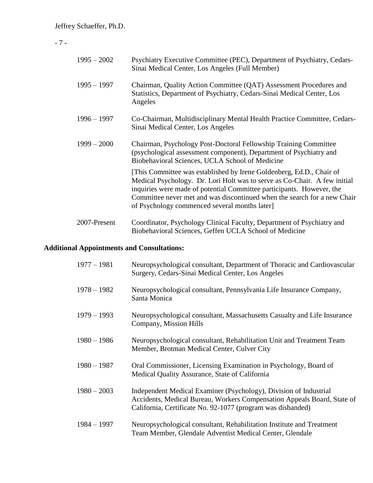## - 7 -

| $1995 - 2002$ | Psychiatry Executive Committee (PEC), Department of Psychiatry, Cedars-<br>Sinai Medical Center, Los Angeles (Full Member)                                                                                                                                                                                                                             |
|---------------|--------------------------------------------------------------------------------------------------------------------------------------------------------------------------------------------------------------------------------------------------------------------------------------------------------------------------------------------------------|
| $1995 - 1997$ | Chairman, Quality Action Committee (QAT) Assessment Procedures and<br>Statistics, Department of Psychiatry, Cedars-Sinai Medical Center, Los<br>Angeles                                                                                                                                                                                                |
| $1996 - 1997$ | Co-Chairman, Multidisciplinary Mental Health Practice Committee, Cedars-<br>Sinai Medical Center, Los Angeles                                                                                                                                                                                                                                          |
| $1999 - 2000$ | Chairman, Psychology Post-Doctoral Fellowship Training Committee<br>(psychological assessment component), Department of Psychiatry and<br>Biobehavioral Sciences, UCLA School of Medicine                                                                                                                                                              |
|               | [This Committee was established by Irene Goldenberg, Ed.D., Chair of<br>Medical Psychology. Dr. Lori Holt was to serve as Co-Chair. A few initial<br>inquiries were made of potential Committee participants. However, the<br>Committee never met and was discontinued when the search for a new Chair<br>of Psychology commenced several months later |
| 2007-Present  | Coordinator, Psychology Clinical Faculty, Department of Psychiatry and<br>Biobehavioral Sciences, Geffen UCLA School of Medicine                                                                                                                                                                                                                       |

# **Additional Appointments and Consultations:**

| $1977 - 1981$ | Neuropsychological consultant, Department of Thoracic and Cardiovascular<br>Surgery, Cedars-Sinai Medical Center, Los Angeles                                                                               |
|---------------|-------------------------------------------------------------------------------------------------------------------------------------------------------------------------------------------------------------|
| $1978 - 1982$ | Neuropsychological consultant, Pennsylvania Life Insurance Company,<br>Santa Monica                                                                                                                         |
| $1979 - 1993$ | Neuropsychological consultant, Massachusetts Casualty and Life Insurance<br>Company, Mission Hills                                                                                                          |
| $1980 - 1986$ | Neuropsychological consultant, Rehabilitation Unit and Treatment Team<br>Member, Brotman Medical Center, Culver City                                                                                        |
| $1980 - 1987$ | Oral Commissioner, Licensing Examination in Psychology, Board of<br>Medical Quality Assurance, State of California                                                                                          |
| $1980 - 2003$ | Independent Medical Examiner (Psychology), Division of Industrial<br>Accidents, Medical Bureau, Workers Compensation Appeals Board, State of<br>California, Certificate No. 92-1077 (program was disbanded) |
| $1984 - 1997$ | Neuropsychological consultant, Rehabilitation Institute and Treatment<br>Team Member, Glendale Adventist Medical Center, Glendale                                                                           |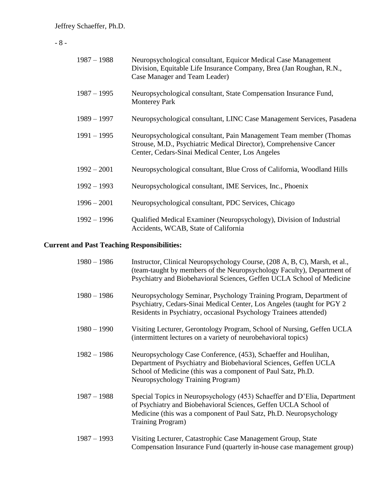- 8 -

| $1987 - 1988$ | Neuropsychological consultant, Equicor Medical Case Management<br>Division, Equitable Life Insurance Company, Brea (Jan Roughan, R.N.,<br>Case Manager and Team Leader)                      |
|---------------|----------------------------------------------------------------------------------------------------------------------------------------------------------------------------------------------|
| $1987 - 1995$ | Neuropsychological consultant, State Compensation Insurance Fund,<br><b>Monterey Park</b>                                                                                                    |
| $1989 - 1997$ | Neuropsychological consultant, LINC Case Management Services, Pasadena                                                                                                                       |
| $1991 - 1995$ | Neuropsychological consultant, Pain Management Team member (Thomas<br>Strouse, M.D., Psychiatric Medical Director), Comprehensive Cancer<br>Center, Cedars-Sinai Medical Center, Los Angeles |
| $1992 - 2001$ | Neuropsychological consultant, Blue Cross of California, Woodland Hills                                                                                                                      |
| $1992 - 1993$ | Neuropsychological consultant, IME Services, Inc., Phoenix                                                                                                                                   |
| $1996 - 2001$ | Neuropsychological consultant, PDC Services, Chicago                                                                                                                                         |
| $1992 - 1996$ | Qualified Medical Examiner (Neuropsychology), Division of Industrial<br>Accidents, WCAB, State of California                                                                                 |

# **Current and Past Teaching Responsibilities:**

| $1980 - 1986$ | Instructor, Clinical Neuropsychology Course, (208 A, B, C), Marsh, et al.,<br>(team-taught by members of the Neuropsychology Faculty), Department of<br>Psychiatry and Biobehavioral Sciences, Geffen UCLA School of Medicine                  |
|---------------|------------------------------------------------------------------------------------------------------------------------------------------------------------------------------------------------------------------------------------------------|
| $1980 - 1986$ | Neuropsychology Seminar, Psychology Training Program, Department of<br>Psychiatry, Cedars-Sinai Medical Center, Los Angeles (taught for PGY 2)<br>Residents in Psychiatry, occasional Psychology Trainees attended)                            |
| $1980 - 1990$ | Visiting Lecturer, Gerontology Program, School of Nursing, Geffen UCLA<br>(intermittent lectures on a variety of neurobehavioral topics)                                                                                                       |
| $1982 - 1986$ | Neuropsychology Case Conference, (453), Schaeffer and Houlihan,<br>Department of Psychiatry and Biobehavioral Sciences, Geffen UCLA<br>School of Medicine (this was a component of Paul Satz, Ph.D.<br>Neuropsychology Training Program)       |
| $1987 - 1988$ | Special Topics in Neuropsychology (453) Schaeffer and D'Elia, Department<br>of Psychiatry and Biobehavioral Sciences, Geffen UCLA School of<br>Medicine (this was a component of Paul Satz, Ph.D. Neuropsychology<br><b>Training Program</b> ) |
| $1987 - 1993$ | Visiting Lecturer, Catastrophic Case Management Group, State                                                                                                                                                                                   |

Compensation Insurance Fund (quarterly in-house case management group)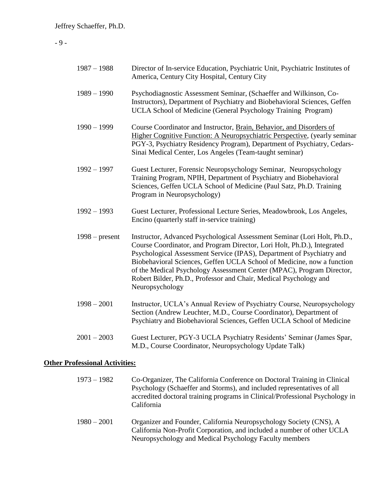## - 9 -

| $1987 - 1988$    | Director of In-service Education, Psychiatric Unit, Psychiatric Institutes of<br>America, Century City Hospital, Century City                                                                                                                                                                                                                                                                                                                                           |
|------------------|-------------------------------------------------------------------------------------------------------------------------------------------------------------------------------------------------------------------------------------------------------------------------------------------------------------------------------------------------------------------------------------------------------------------------------------------------------------------------|
| $1989 - 1990$    | Psychodiagnostic Assessment Seminar, (Schaeffer and Wilkinson, Co-<br>Instructors), Department of Psychiatry and Biobehavioral Sciences, Geffen<br>UCLA School of Medicine (General Psychology Training Program)                                                                                                                                                                                                                                                        |
| $1990 - 1999$    | Course Coordinator and Instructor, Brain, Behavior, and Disorders of<br>Higher Cognitive Function: A Neuropsychiatric Perspective, (yearly seminar<br>PGY-3, Psychiatry Residency Program), Department of Psychiatry, Cedars-<br>Sinai Medical Center, Los Angeles (Team-taught seminar)                                                                                                                                                                                |
| $1992 - 1997$    | Guest Lecturer, Forensic Neuropsychology Seminar, Neuropsychology<br>Training Program, NPIH, Department of Psychiatry and Biobehavioral<br>Sciences, Geffen UCLA School of Medicine (Paul Satz, Ph.D. Training<br>Program in Neuropsychology)                                                                                                                                                                                                                           |
| $1992 - 1993$    | Guest Lecturer, Professional Lecture Series, Meadowbrook, Los Angeles,<br>Encino (quarterly staff in-service training)                                                                                                                                                                                                                                                                                                                                                  |
| $1998 - present$ | Instructor, Advanced Psychological Assessment Seminar (Lori Holt, Ph.D.,<br>Course Coordinator, and Program Director, Lori Holt, Ph.D.), Integrated<br>Psychological Assessment Service (IPAS), Department of Psychiatry and<br>Biobehavioral Sciences, Geffen UCLA School of Medicine, now a function<br>of the Medical Psychology Assessment Center (MPAC), Program Director,<br>Robert Bilder, Ph.D., Professor and Chair, Medical Psychology and<br>Neuropsychology |
| $1998 - 2001$    | Instructor, UCLA's Annual Review of Psychiatry Course, Neuropsychology<br>Section (Andrew Leuchter, M.D., Course Coordinator), Department of<br>Psychiatry and Biobehavioral Sciences, Geffen UCLA School of Medicine                                                                                                                                                                                                                                                   |
| $2001 - 2003$    | Guest Lecturer, PGY-3 UCLA Psychiatry Residents' Seminar (James Spar,<br>M.D., Course Coordinator, Neuropsychology Update Talk)                                                                                                                                                                                                                                                                                                                                         |

# **Other Professional Activities:**

| $1973 - 1982$ | Co-Organizer, The California Conference on Doctoral Training in Clinical<br>Psychology (Schaeffer and Storms), and included representatives of all<br>accredited doctoral training programs in Clinical/Professional Psychology in<br>California |
|---------------|--------------------------------------------------------------------------------------------------------------------------------------------------------------------------------------------------------------------------------------------------|
| $1980 - 2001$ | Organizer and Founder, California Neuropsychology Society (CNS), A<br>California Non-Profit Corporation, and included a number of other UCLA<br>Neuropsychology and Medical Psychology Faculty members                                           |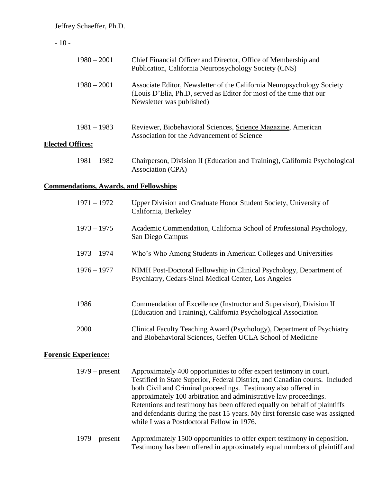## - 10 -

| $1980 - 2001$                                 | Chief Financial Officer and Director, Office of Membership and<br>Publication, California Neuropsychology Society (CNS)                                                    |  |
|-----------------------------------------------|----------------------------------------------------------------------------------------------------------------------------------------------------------------------------|--|
| $1980 - 2001$                                 | Associate Editor, Newsletter of the California Neuropsychology Society<br>(Louis D'Elia, Ph.D, served as Editor for most of the time that our<br>Newsletter was published) |  |
| $1981 - 1983$<br><b>Elected Offices:</b>      | Reviewer, Biobehavioral Sciences, Science Magazine, American<br>Association for the Advancement of Science                                                                 |  |
| $1981 - 1982$                                 | Chairperson, Division II (Education and Training), California Psychological<br>Association (CPA)                                                                           |  |
| <b>Commendations, Awards, and Fellowships</b> |                                                                                                                                                                            |  |
| $1971 - 1972$                                 | Upper Division and Graduate Honor Student Society, University of<br>California, Berkeley                                                                                   |  |
| $1973 - 1975$                                 | Academic Commendation, California School of Professional Psychology,<br>San Diego Campus                                                                                   |  |
| $1973 - 1974$                                 | Who's Who Among Students in American Colleges and Universities                                                                                                             |  |
| $1976 - 1977$                                 | NIMH Post-Doctoral Fellowship in Clinical Psychology, Department of<br>Psychiatry, Cedars-Sinai Medical Center, Los Angeles                                                |  |
| 1986                                          | Commendation of Excellence (Instructor and Supervisor), Division II<br>(Education and Training), California Psychological Association                                      |  |
| 2000                                          | Clinical Faculty Teaching Award (Psychology), Department of Psychiatry<br>and Biobehavioral Sciences, Geffen UCLA School of Medicine                                       |  |
| <b>Forensic Experience:</b>                   |                                                                                                                                                                            |  |

| $1979$ – present | Approximately 400 opportunities to offer expert testimony in court.          |
|------------------|------------------------------------------------------------------------------|
|                  | Testified in State Superior, Federal District, and Canadian courts. Included |
|                  | both Civil and Criminal proceedings. Testimony also offered in               |
|                  | approximately 100 arbitration and administrative law proceedings.            |
|                  | Retentions and testimony has been offered equally on behalf of plaintiffs    |
|                  | and defendants during the past 15 years. My first forensic case was assigned |
|                  | while I was a Postdoctoral Fellow in 1976.                                   |
| $1979$ – present | Approximately 1500 opportunities to offer expert testimony in deposition.    |
|                  | Testimony has been offered in approximately equal numbers of plaintiff and   |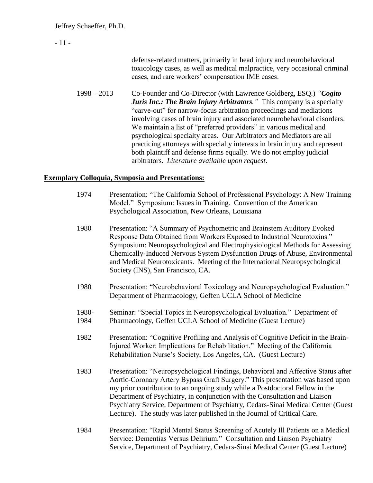| $-11-$ |               |                                                                                                                                                                                                                                                                                                                                                                                                                                                                                                                                                                                                                                                         |
|--------|---------------|---------------------------------------------------------------------------------------------------------------------------------------------------------------------------------------------------------------------------------------------------------------------------------------------------------------------------------------------------------------------------------------------------------------------------------------------------------------------------------------------------------------------------------------------------------------------------------------------------------------------------------------------------------|
|        |               | defense-related matters, primarily in head injury and neurobehavioral<br>toxicology cases, as well as medical malpractice, very occasional criminal<br>cases, and rare workers' compensation IME cases.                                                                                                                                                                                                                                                                                                                                                                                                                                                 |
|        | $1998 - 2013$ | Co-Founder and Co-Director (with Lawrence Goldberg, ESQ.) "Cogito"<br>Juris Inc.: The Brain Injury Arbitrators." This company is a specialty<br>"carve-out" for narrow-focus arbitration proceedings and mediations<br>involving cases of brain injury and associated neurobehavioral disorders.<br>We maintain a list of "preferred providers" in various medical and<br>psychological specialty areas. Our Arbitrators and Mediators are all<br>practicing attorneys with specialty interests in brain injury and represent<br>both plaintiff and defense firms equally. We do not employ judicial<br>arbitrators. Literature available upon request. |

### **Exemplary Colloquia, Symposia and Presentations:**

- 1974 Presentation: "The California School of Professional Psychology: A New Training Model." Symposium: Issues in Training. Convention of the American Psychological Association, New Orleans, Louisiana
- 1980 Presentation: "A Summary of Psychometric and Brainstem Auditory Evoked Response Data Obtained from Workers Exposed to Industrial Neurotoxins." Symposium: Neuropsychological and Electrophysiological Methods for Assessing Chemically-Induced Nervous System Dysfunction Drugs of Abuse, Environmental and Medical Neurotoxicants. Meeting of the International Neuropsychological Society (INS), San Francisco, CA.
- 1980 Presentation: "Neurobehavioral Toxicology and Neuropsychological Evaluation." Department of Pharmacology, Geffen UCLA School of Medicine
- 1980- Seminar: "Special Topics in Neuropsychological Evaluation." Department of 1984 Pharmacology, Geffen UCLA School of Medicine (Guest Lecture)
- 1982 Presentation: "Cognitive Profiling and Analysis of Cognitive Deficit in the Brain-Injured Worker: Implications for Rehabilitation." Meeting of the California Rehabilitation Nurse's Society, Los Angeles, CA. (Guest Lecture)
- 1983 Presentation: "Neuropsychological Findings, Behavioral and Affective Status after Aortic-Coronary Artery Bypass Graft Surgery." This presentation was based upon my prior contribution to an ongoing study while a Postdoctoral Fellow in the Department of Psychiatry, in conjunction with the Consultation and Liaison Psychiatry Service, Department of Psychiatry, Cedars-Sinai Medical Center (Guest Lecture). The study was later published in the Journal of Critical Care.
- 1984 Presentation: "Rapid Mental Status Screening of Acutely Ill Patients on a Medical Service: Dementias Versus Delirium." Consultation and Liaison Psychiatry Service, Department of Psychiatry, Cedars-Sinai Medical Center (Guest Lecture)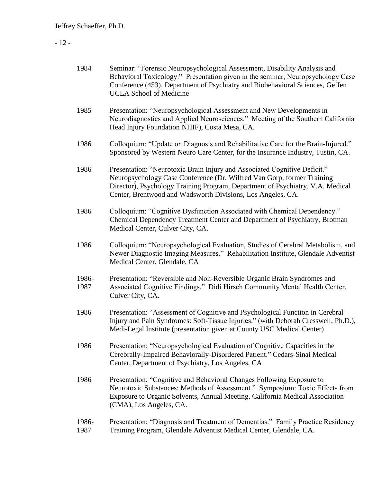### - 12 -

| 1984          | Seminar: "Forensic Neuropsychological Assessment, Disability Analysis and<br>Behavioral Toxicology." Presentation given in the seminar, Neuropsychology Case<br>Conference (453), Department of Psychiatry and Biobehavioral Sciences, Geffen<br><b>UCLA School of Medicine</b>                      |
|---------------|------------------------------------------------------------------------------------------------------------------------------------------------------------------------------------------------------------------------------------------------------------------------------------------------------|
| 1985          | Presentation: "Neuropsychological Assessment and New Developments in<br>Neurodiagnostics and Applied Neurosciences." Meeting of the Southern California<br>Head Injury Foundation NHIF), Costa Mesa, CA.                                                                                             |
| 1986          | Colloquium: "Update on Diagnosis and Rehabilitative Care for the Brain-Injured."<br>Sponsored by Western Neuro Care Center, for the Insurance Industry, Tustin, CA.                                                                                                                                  |
| 1986          | Presentation: "Neurotoxic Brain Injury and Associated Cognitive Deficit."<br>Neuropsychology Case Conference (Dr. Wilfred Van Gorp, former Training<br>Director), Psychology Training Program, Department of Psychiatry, V.A. Medical<br>Center, Brentwood and Wadsworth Divisions, Los Angeles, CA. |
| 1986          | Colloquium: "Cognitive Dysfunction Associated with Chemical Dependency."<br>Chemical Dependency Treatment Center and Department of Psychiatry, Brotman<br>Medical Center, Culver City, CA.                                                                                                           |
| 1986          | Colloquium: "Neuropsychological Evaluation, Studies of Cerebral Metabolism, and<br>Newer Diagnostic Imaging Measures." Rehabilitation Institute, Glendale Adventist<br>Medical Center, Glendale, CA                                                                                                  |
| 1986-<br>1987 | Presentation: "Reversible and Non-Reversible Organic Brain Syndromes and<br>Associated Cognitive Findings." Didi Hirsch Community Mental Health Center,<br>Culver City, CA.                                                                                                                          |
| 1986          | Presentation: "Assessment of Cognitive and Psychological Function in Cerebral<br>Injury and Pain Syndromes: Soft-Tissue Injuries." (with Deborah Cresswell, Ph.D.),<br>Medi-Legal Institute (presentation given at County USC Medical Center)                                                        |
| 1986          | Presentation: "Neuropsychological Evaluation of Cognitive Capacities in the<br>Cerebrally-Impaired Behaviorally-Disordered Patient." Cedars-Sinai Medical<br>Center, Department of Psychiatry, Los Angeles, CA                                                                                       |
| 1986          | Presentation: "Cognitive and Behavioral Changes Following Exposure to<br>Neurotoxic Substances: Methods of Assessment." Symposium: Toxic Effects from<br>Exposure to Organic Solvents, Annual Meeting, California Medical Association<br>(CMA), Los Angeles, CA.                                     |
| 1986-<br>1987 | Presentation: "Diagnosis and Treatment of Dementias." Family Practice Residency<br>Training Program, Glendale Adventist Medical Center, Glendale, CA.                                                                                                                                                |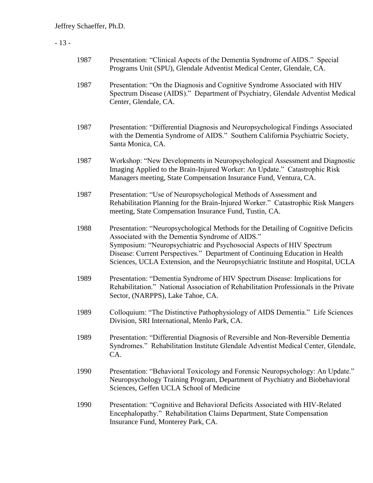# - 13 -

| 1987 | Presentation: "Clinical Aspects of the Dementia Syndrome of AIDS." Special<br>Programs Unit (SPU), Glendale Adventist Medical Center, Glendale, CA.                                                                                                                                                                                                                              |
|------|----------------------------------------------------------------------------------------------------------------------------------------------------------------------------------------------------------------------------------------------------------------------------------------------------------------------------------------------------------------------------------|
| 1987 | Presentation: "On the Diagnosis and Cognitive Syndrome Associated with HIV<br>Spectrum Disease (AIDS)." Department of Psychiatry, Glendale Adventist Medical<br>Center, Glendale, CA.                                                                                                                                                                                            |
| 1987 | Presentation: "Differential Diagnosis and Neuropsychological Findings Associated<br>with the Dementia Syndrome of AIDS." Southern California Psychiatric Society,<br>Santa Monica, CA.                                                                                                                                                                                           |
| 1987 | Workshop: "New Developments in Neuropsychological Assessment and Diagnostic<br>Imaging Applied to the Brain-Injured Worker: An Update." Catastrophic Risk<br>Managers meeting, State Compensation Insurance Fund, Ventura, CA.                                                                                                                                                   |
| 1987 | Presentation: "Use of Neuropsychological Methods of Assessment and<br>Rehabilitation Planning for the Brain-Injured Worker." Catastrophic Risk Mangers<br>meeting, State Compensation Insurance Fund, Tustin, CA.                                                                                                                                                                |
| 1988 | Presentation: "Neuropsychological Methods for the Detailing of Cognitive Deficits<br>Associated with the Dementia Syndrome of AIDS."<br>Symposium: "Neuropsychiatric and Psychosocial Aspects of HIV Spectrum<br>Disease: Current Perspectives." Department of Continuing Education in Health<br>Sciences, UCLA Extension, and the Neuropsychiatric Institute and Hospital, UCLA |
| 1989 | Presentation: "Dementia Syndrome of HIV Spectrum Disease: Implications for<br>Rehabilitation." National Association of Rehabilitation Professionals in the Private<br>Sector, (NARPPS), Lake Tahoe, CA.                                                                                                                                                                          |
| 1989 | Colloquium: "The Distinctive Pathophysiology of AIDS Dementia." Life Sciences<br>Division, SRI International, Menlo Park, CA.                                                                                                                                                                                                                                                    |
| 1989 | Presentation: "Differential Diagnosis of Reversible and Non-Reversible Dementia<br>Syndromes." Rehabilitation Institute Glendale Adventist Medical Center, Glendale,<br>CA.                                                                                                                                                                                                      |
| 1990 | Presentation: "Behavioral Toxicology and Forensic Neuropsychology: An Update."<br>Neuropsychology Training Program, Department of Psychiatry and Biobehavioral<br>Sciences, Geffen UCLA School of Medicine                                                                                                                                                                       |
| 1990 | Presentation: "Cognitive and Behavioral Deficits Associated with HIV-Related<br>Encephalopathy." Rehabilitation Claims Department, State Compensation<br>Insurance Fund, Monterey Park, CA.                                                                                                                                                                                      |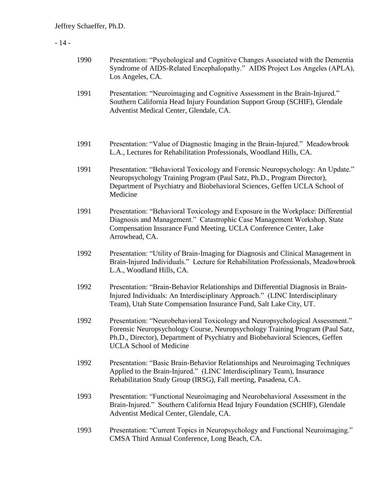# - 14 -

| 1990 | Presentation: "Psychological and Cognitive Changes Associated with the Dementia<br>Syndrome of AIDS-Related Encephalopathy." AIDS Project Los Angeles (APLA),<br>Los Angeles, CA.                                                                                                 |
|------|-----------------------------------------------------------------------------------------------------------------------------------------------------------------------------------------------------------------------------------------------------------------------------------|
| 1991 | Presentation: "Neuroimaging and Cognitive Assessment in the Brain-Injured."<br>Southern California Head Injury Foundation Support Group (SCHIF), Glendale<br>Adventist Medical Center, Glendale, CA.                                                                              |
| 1991 | Presentation: "Value of Diagnostic Imaging in the Brain-Injured." Meadowbrook<br>L.A., Lectures for Rehabilitation Professionals, Woodland Hills, CA.                                                                                                                             |
| 1991 | Presentation: "Behavioral Toxicology and Forensic Neuropsychology: An Update."<br>Neuropsychology Training Program (Paul Satz, Ph.D., Program Director),<br>Department of Psychiatry and Biobehavioral Sciences, Geffen UCLA School of<br>Medicine                                |
| 1991 | Presentation: "Behavioral Toxicology and Exposure in the Workplace: Differential<br>Diagnosis and Management." Catastrophic Case Management Workshop, State<br>Compensation Insurance Fund Meeting, UCLA Conference Center, Lake<br>Arrowhead, CA.                                |
| 1992 | Presentation: "Utility of Brain-Imaging for Diagnosis and Clinical Management in<br>Brain-Injured Individuals." Lecture for Rehabilitation Professionals, Meadowbrook<br>L.A., Woodland Hills, CA.                                                                                |
| 1992 | Presentation: "Brain-Behavior Relationships and Differential Diagnosis in Brain-<br>Injured Individuals: An Interdisciplinary Approach." (LINC Interdisciplinary<br>Team), Utah State Compensation Insurance Fund, Salt Lake City, UT.                                            |
| 1992 | Presentation: "Neurobehavioral Toxicology and Neuropsychological Assessment."<br>Forensic Neuropsychology Course, Neuropsychology Training Program (Paul Satz,<br>Ph.D., Director), Department of Psychiatry and Biobehavioral Sciences, Geffen<br><b>UCLA School of Medicine</b> |
| 1992 | Presentation: "Basic Brain-Behavior Relationships and Neuroimaging Techniques<br>Applied to the Brain-Injured." (LINC Interdisciplinary Team), Insurance<br>Rehabilitation Study Group (IRSG), Fall meeting, Pasadena, CA.                                                        |
| 1993 | Presentation: "Functional Neuroimaging and Neurobehavioral Assessment in the<br>Brain-Injured." Southern California Head Injury Foundation (SCHIF), Glendale<br>Adventist Medical Center, Glendale, CA.                                                                           |
| 1993 | Presentation: "Current Topics in Neuropsychology and Functional Neuroimaging."<br>CMSA Third Annual Conference, Long Beach, CA.                                                                                                                                                   |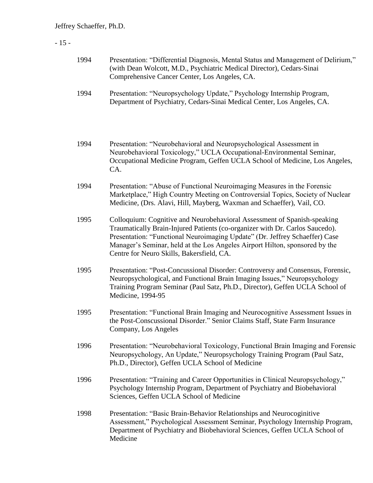# - 15 -

| 1994 | Presentation: "Differential Diagnosis, Mental Status and Management of Delirium,"<br>(with Dean Wolcott, M.D., Psychiatric Medical Director), Cedars-Sinai<br>Comprehensive Cancer Center, Los Angeles, CA.                                                                                                                                                         |
|------|---------------------------------------------------------------------------------------------------------------------------------------------------------------------------------------------------------------------------------------------------------------------------------------------------------------------------------------------------------------------|
| 1994 | Presentation: "Neuropsychology Update," Psychology Internship Program,<br>Department of Psychiatry, Cedars-Sinai Medical Center, Los Angeles, CA.                                                                                                                                                                                                                   |
| 1994 | Presentation: "Neurobehavioral and Neuropsychological Assessment in<br>Neurobehavioral Toxicology," UCLA Occupational-Environmental Seminar,<br>Occupational Medicine Program, Geffen UCLA School of Medicine, Los Angeles,<br>CA.                                                                                                                                  |
| 1994 | Presentation: "Abuse of Functional Neuroimaging Measures in the Forensic<br>Marketplace," High Country Meeting on Controversial Topics, Society of Nuclear<br>Medicine, (Drs. Alavi, Hill, Mayberg, Waxman and Schaeffer), Vail, CO.                                                                                                                                |
| 1995 | Colloquium: Cognitive and Neurobehavioral Assessment of Spanish-speaking<br>Traumatically Brain-Injured Patients (co-organizer with Dr. Carlos Saucedo).<br>Presentation: "Functional Neuroimaging Update" (Dr. Jeffrey Schaeffer) Case<br>Manager's Seminar, held at the Los Angeles Airport Hilton, sponsored by the<br>Centre for Neuro Skills, Bakersfield, CA. |
| 1995 | Presentation: "Post-Concussional Disorder: Controversy and Consensus, Forensic,<br>Neuropsychological, and Functional Brain Imaging Issues," Neuropsychology<br>Training Program Seminar (Paul Satz, Ph.D., Director), Geffen UCLA School of<br>Medicine, 1994-95                                                                                                   |
| 1995 | Presentation: "Functional Brain Imaging and Neurocognitive Assessment Issues in<br>the Post-Conscussional Disorder." Senior Claims Staff, State Farm Insurance<br>Company, Los Angeles                                                                                                                                                                              |
| 1996 | Presentation: "Neurobehavioral Toxicology, Functional Brain Imaging and Forensic<br>Neuropsychology, An Update," Neuropsychology Training Program (Paul Satz,<br>Ph.D., Director), Geffen UCLA School of Medicine                                                                                                                                                   |
| 1996 | Presentation: "Training and Career Opportunities in Clinical Neuropsychology,"<br>Psychology Internship Program, Department of Psychiatry and Biobehavioral<br>Sciences, Geffen UCLA School of Medicine                                                                                                                                                             |
| 1998 | Presentation: "Basic Brain-Behavior Relationships and Neurocoginitive<br>Assessment," Psychological Assessment Seminar, Psychology Internship Program,<br>Department of Psychiatry and Biobehavioral Sciences, Geffen UCLA School of<br>Medicine                                                                                                                    |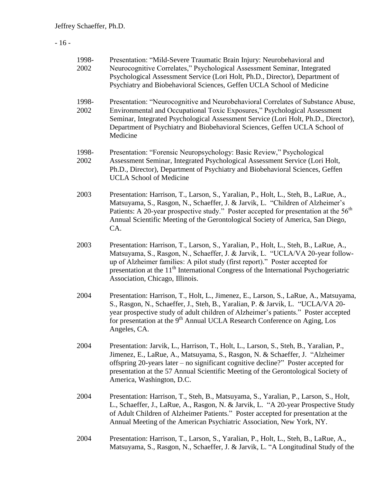### - 16 -

| 1998-<br>2002 | Presentation: "Mild-Severe Traumatic Brain Injury: Neurobehavioral and<br>Neurocognitive Correlates," Psychological Assessment Seminar, Integrated<br>Psychological Assessment Service (Lori Holt, Ph.D., Director), Department of<br>Psychiatry and Biobehavioral Sciences, Geffen UCLA School of Medicine                                                                                   |
|---------------|-----------------------------------------------------------------------------------------------------------------------------------------------------------------------------------------------------------------------------------------------------------------------------------------------------------------------------------------------------------------------------------------------|
| 1998-<br>2002 | Presentation: "Neurocognitive and Neurobehavioral Correlates of Substance Abuse,<br>Environmental and Occupational Toxic Exposures," Psychological Assessment<br>Seminar, Integrated Psychological Assessment Service (Lori Holt, Ph.D., Director),<br>Department of Psychiatry and Biobehavioral Sciences, Geffen UCLA School of<br>Medicine                                                 |
| 1998-<br>2002 | Presentation: "Forensic Neuropsychology: Basic Review," Psychological<br>Assessment Seminar, Integrated Psychological Assessment Service (Lori Holt,<br>Ph.D., Director), Department of Psychiatry and Biobehavioral Sciences, Geffen<br><b>UCLA School of Medicine</b>                                                                                                                       |
| 2003          | Presentation: Harrison, T., Larson, S., Yaralian, P., Holt, L., Steh, B., LaRue, A.,<br>Matsuyama, S., Rasgon, N., Schaeffer, J. & Jarvik, L. "Children of Alzheimer's<br>Patients: A 20-year prospective study." Poster accepted for presentation at the 56 <sup>th</sup><br>Annual Scientific Meeting of the Gerontological Society of America, San Diego,<br>CA.                           |
| 2003          | Presentation: Harrison, T., Larson, S., Yaralian, P., Holt, L., Steh, B., LaRue, A.,<br>Matsuyama, S., Rasgon, N., Schaeffer, J. & Jarvik, L. "UCLA/VA 20-year follow-<br>up of Alzheimer families: A pilot study (first report)." Poster accepted for<br>presentation at the 11 <sup>th</sup> International Congress of the International Psychogeriatric<br>Association, Chicago, Illinois. |
| 2004          | Presentation: Harrison, T., Holt, L., Jimenez, E., Larson, S., LaRue, A., Matsuyama,<br>S., Rasgon, N., Schaeffer, J., Steh, B., Yaralian, P. & Jarvik, L. "UCLA/VA 20-<br>year prospective study of adult children of Alzheimer's patients." Poster accepted<br>for presentation at the 9 <sup>th</sup> Annual UCLA Research Conference on Aging, Los<br>Angeles, CA.                        |
| 2004          | Presentation: Jarvik, L., Harrison, T., Holt, L., Larson, S., Steh, B., Yaralian, P.,<br>Jimenez, E., LaRue, A., Matsuyama, S., Rasgon, N. & Schaeffer, J. "Alzheimer<br>offspring 20-years later – no significant cognitive decline?" Poster accepted for<br>presentation at the 57 Annual Scientific Meeting of the Gerontological Society of<br>America, Washington, D.C.                  |
| 2004          | Presentation: Harrison, T., Steh, B., Matsuyama, S., Yaralian, P., Larson, S., Holt,<br>L., Schaeffer, J., LaRue, A., Rasgon, N. & Jarvik, L. "A 20-year Prospective Study<br>of Adult Children of Alzheimer Patients." Poster accepted for presentation at the<br>Annual Meeting of the American Psychiatric Association, New York, NY.                                                      |

2004 Presentation: Harrison, T., Larson, S., Yaralian, P., Holt, L., Steh, B., LaRue, A., Matsuyama, S., Rasgon, N., Schaeffer, J. & Jarvik, L. "A Longitudinal Study of the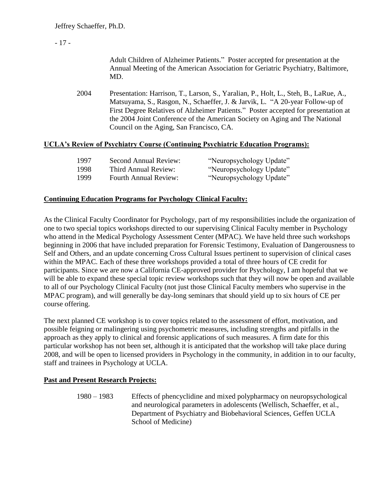## - 17 -

Adult Children of Alzheimer Patients." Poster accepted for presentation at the Annual Meeting of the American Association for Geriatric Psychiatry, Baltimore, MD.

2004 Presentation: Harrison, T., Larson, S., Yaralian, P., Holt, L., Steh, B., LaRue, A., Matsuyama, S., Rasgon, N., Schaeffer, J. & Jarvik, L. "A 20-year Follow-up of First Degree Relatives of Alzheimer Patients." Poster accepted for presentation at the 2004 Joint Conference of the American Society on Aging and The National Council on the Aging, San Francisco, CA.

### **UCLA's Review of Psychiatry Course (Continuing Psychiatric Education Programs):**

| 1997 | <b>Second Annual Review:</b> | "Neuropsychology Update" |
|------|------------------------------|--------------------------|
| 1998 | Third Annual Review:         | "Neuropsychology Update" |
| 1999 | <b>Fourth Annual Review:</b> | "Neuropsychology Update" |

### **Continuing Education Programs for Psychology Clinical Faculty:**

As the Clinical Faculty Coordinator for Psychology, part of my responsibilities include the organization of one to two special topics workshops directed to our supervising Clinical Faculty member in Psychology who attend in the Medical Psychology Assessment Center (MPAC). We have held three such workshops beginning in 2006 that have included preparation for Forensic Testimony, Evaluation of Dangerousness to Self and Others, and an update concerning Cross Cultural Issues pertinent to supervision of clinical cases within the MPAC. Each of these three workshops provided a total of three hours of CE credit for participants. Since we are now a California CE-approved provider for Psychology, I am hopeful that we will be able to expand these special topic review workshops such that they will now be open and available to all of our Psychology Clinical Faculty (not just those Clinical Faculty members who supervise in the MPAC program), and will generally be day-long seminars that should yield up to six hours of CE per course offering.

The next planned CE workshop is to cover topics related to the assessment of effort, motivation, and possible feigning or malingering using psychometric measures, including strengths and pitfalls in the approach as they apply to clinical and forensic applications of such measures. A firm date for this particular workshop has not been set, although it is anticipated that the workshop will take place during 2008, and will be open to licensed providers in Psychology in the community, in addition in to our faculty, staff and trainees in Psychology at UCLA.

### **Past and Present Research Projects:**

1980 – 1983 Effects of phencyclidine and mixed polypharmacy on neuropsychological and neurological parameters in adolescents (Wellisch, Schaeffer, et al., Department of Psychiatry and Biobehavioral Sciences, Geffen UCLA School of Medicine)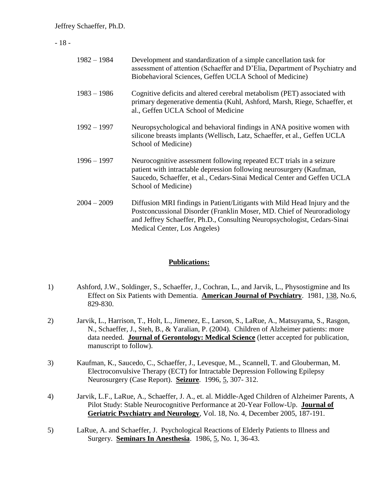- 18 -

| $1982 - 1984$ | Development and standardization of a simple cancellation task for<br>assessment of attention (Schaeffer and D'Elia, Department of Psychiatry and<br>Biobehavioral Sciences, Geffen UCLA School of Medicine)                                                     |
|---------------|-----------------------------------------------------------------------------------------------------------------------------------------------------------------------------------------------------------------------------------------------------------------|
| $1983 - 1986$ | Cognitive deficits and altered cerebral metabolism (PET) associated with<br>primary degenerative dementia (Kuhl, Ashford, Marsh, Riege, Schaeffer, et<br>al., Geffen UCLA School of Medicine                                                                    |
| $1992 - 1997$ | Neuropsychological and behavioral findings in ANA positive women with<br>silicone breasts implants (Wellisch, Latz, Schaeffer, et al., Geffen UCLA<br>School of Medicine)                                                                                       |
| $1996 - 1997$ | Neurocognitive assessment following repeated ECT trials in a seizure<br>patient with intractable depression following neurosurgery (Kaufman,<br>Saucedo, Schaeffer, et al., Cedars-Sinai Medical Center and Geffen UCLA<br>School of Medicine)                  |
| $2004 - 2009$ | Diffusion MRI findings in Patient/Litigants with Mild Head Injury and the<br>Postconcussional Disorder (Franklin Moser, MD. Chief of Neuroradiology<br>and Jeffrey Schaeffer, Ph.D., Consulting Neuropsychologist, Cedars-Sinai<br>Medical Center, Los Angeles) |

### **Publications:**

- 1) Ashford, J.W., Soldinger, S., Schaeffer, J., Cochran, L., and Jarvik, L., Physostigmine and Its Effect on Six Patients with Dementia. **American Journal of Psychiatry**. 1981, 138, No.6, 829-830.
- 2) Jarvik, L., Harrison, T., Holt, L., Jimenez, E., Larson, S., LaRue, A., Matsuyama, S., Rasgon, N., Schaeffer, J., Steh, B., & Yaralian, P. (2004). Children of Alzheimer patients: more data needed. **Journal of Gerontology: Medical Science** (letter accepted for publication, manuscript to follow).
- 3) Kaufman, K., Saucedo, C., Schaeffer, J., Levesque, M.., Scannell, T. and Glouberman, M. Electroconvulsive Therapy (ECT) for Intractable Depression Following Epilepsy Neurosurgery (Case Report). **Seizure**. 1996, 5, 307- 312.
- 4) Jarvik, L.F., LaRue, A., Schaeffer, J. A., et. al. Middle-Aged Children of Alzheimer Parents, A Pilot Study: Stable Neurocognitive Performance at 20-Year Follow-Up. **Journal of Geriatric Psychiatry and Neurology**, Vol. 18, No. 4, December 2005, 187-191.
- 5) LaRue, A. and Schaeffer, J. Psychological Reactions of Elderly Patients to Illness and Surgery. **Seminars In Anesthesia**. 1986, 5, No. 1, 36-43.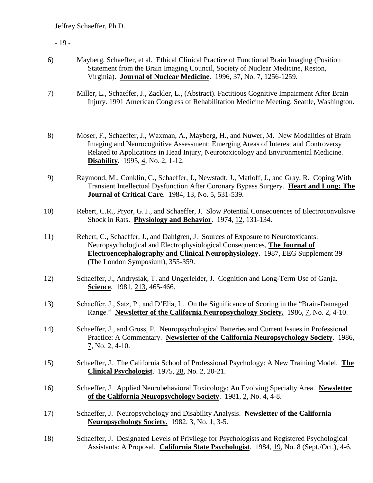- 19 -

| 6) | Mayberg, Schaeffer, et al. Ethical Clinical Practice of Functional Brain Imaging (Position |
|----|--------------------------------------------------------------------------------------------|
|    | Statement from the Brain Imaging Council, Society of Nuclear Medicine, Reston,             |
|    | Virginia). <b>Journal of Nuclear Medicine</b> . 1996, 37, No. 7, 1256-1259.                |

- 7) Miller, L., Schaeffer, J., Zackler, L., (Abstract). Factitious Cognitive Impairment After Brain Injury. 1991 American Congress of Rehabilitation Medicine Meeting, Seattle, Washington.
- 8) Moser, F., Schaeffer, J., Waxman, A., Mayberg, H., and Nuwer, M. New Modalities of Brain Imaging and Neurocognitive Assessment: Emerging Areas of Interest and Controversy Related to Applications in Head Injury, Neurotoxicology and Environmental Medicine. **Disability**. 1995, 4, No. 2, 1-12.
- 9) Raymond, M., Conklin, C., Schaeffer, J., Newstadt, J., Matloff, J., and Gray, R. Coping With Transient Intellectual Dysfunction After Coronary Bypass Surgery. **Heart and Lung: The Journal of Critical Care**. 1984, 13, No. 5, 531-539.
- 10) Rebert, C.R., Pryor, G.T., and Schaeffer, J. Slow Potential Consequences of Electroconvulsive Shock in Rats. **Physiology and Behavior**. 1974, 12, 131-134.
- 11) Rebert, C., Schaeffer, J., and Dahlgren, J. Sources of Exposure to Neurotoxicants: Neuropsychological and Electrophysiological Consequences, **The Journal of Electroencephalography and Clinical Neurophysiology**. 1987, EEG Supplement 39 (The London Symposium), 355-359.
- 12) Schaeffer, J., Andrysiak, T. and Ungerleider, J. Cognition and Long-Term Use of Ganja. **Science**. 1981, 213, 465-466.
- 13) Schaeffer, J., Satz, P., and D'Elia, L. On the Significance of Scoring in the "Brain-Damaged Range." **Newsletter of the California Neuropsychology Society.** 1986, 7, No. 2, 4-10.
- 14) Schaeffer, J., and Gross, P. Neuropsychological Batteries and Current Issues in Professional Practice: A Commentary. **Newsletter of the California Neuropsychology Society**. 1986, 7, No. 2, 4-10.
- 15) Schaeffer, J. The California School of Professional Psychology: A New Training Model. **The Clinical Psychologist**. 1975, 28, No. 2, 20-21.
- 16) Schaeffer, J. Applied Neurobehavioral Toxicology: An Evolving Specialty Area. **Newsletter of the California Neuropsychology Society**. 1981, 2, No. 4, 4-8.
- 17) Schaeffer, J. Neuropsychology and Disability Analysis. **Newsletter of the California Neuropsychology Society.** 1982, 3, No. 1, 3-5.
- 18) Schaeffer, J. Designated Levels of Privilege for Psychologists and Registered Psychological Assistants: A Proposal. **California State Psychologist**. 1984, 19, No. 8 (Sept./Oct.), 4-6.